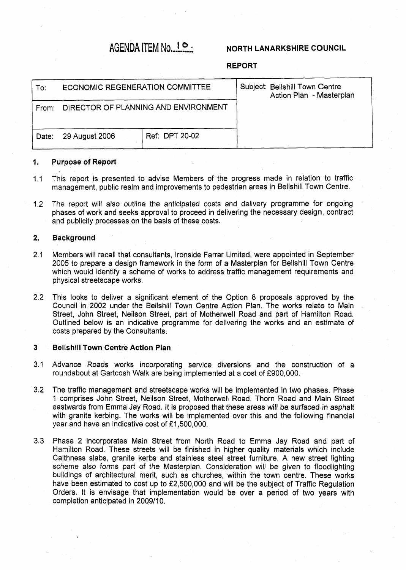# **AGENDA ITEM No. 1 0.**

### **NORTH LANARKSHIRE COUNCIL**

### **REPORT**

| To:   | <b>ECONOMIC REGENERATION COMMITTEE</b> |                | Subject: Bellshill Town Centre<br>Action Plan - Masterplan |
|-------|----------------------------------------|----------------|------------------------------------------------------------|
| From: | DIRECTOR OF PLANNING AND ENVIRONMENT   |                |                                                            |
| Date: | 29 August 2006                         | Ref: DPT 20-02 |                                                            |

#### **1. Purpose** *of* **Report**

- $1.1$ This report is presented to advise Members of the progress made in relation to traffic management, public realm and improvements to pedestrian areas in Bellshill Town Centre.
- 1.2 The report will also outline the anticipated costs and delivery programme for ongoing phases of work and seeks approval to proceed in delivering the necessary design, contract and publicity processes on the basis of these costs.

### **2. Background**

- 2.1 Members will recall that consultants, lronside Farrar Limited, were appointed in September 2005 to prepare a design framework in the form of a Masterplan for Bellshill Town Centre which would identify a scheme of works to address traffic management requirements and physical streetscape works.
- 2.2 This looks to deliver a significant element of the Option 8 proposals approved by the Council in 2002 under the Bellshill Town Centre Action Plan. The works relate to Main Street, John Street, Neilson Street, part of Motherwell Road and part of Hamilton Road. Outlined below is an indicative programme for delivering the works and an estimate of costs prepared by the Consultants.

#### **3 Bellshill Town Centre Action Plan**

,

- **3.1**  Advance Roads works incorporating service diversions and the construction of a roundabout at Gartcosh Walk are being implemented at a cost of €900,000.
- **3.2**  The traffic management and streetscape works will be implemented in two phases. Phase 1 comprises John Street, Neilson Street, Motherwell Road, Thorn Road and Main Street eastwards from Emma Jay Road. It is proposed that these areas will be surfaced in asphalt with granite kerbing. The works will be implemented over this and the following financial year and have an indicative cost of €1,500,000.
- **3.3**  Phase 2 incorporates Main Street from North Road to Emma Jay Road and part of Hamilton Road. These streets will be finished in higher quality materials which include Caithness slabs, granite kerbs and stainless steel street furniture. A new street lighting scheme also forms part of the Masterplan. Consideration will be given to floodlighting buildings of architectural merit, such as churches, within the town centre. These works have been estimated to cost up to **f2,500,000** and will be the subject of Traffic Regulation Orders. It is envisage that implementation would be over a period of two years with completion anticipated in 2009/10.